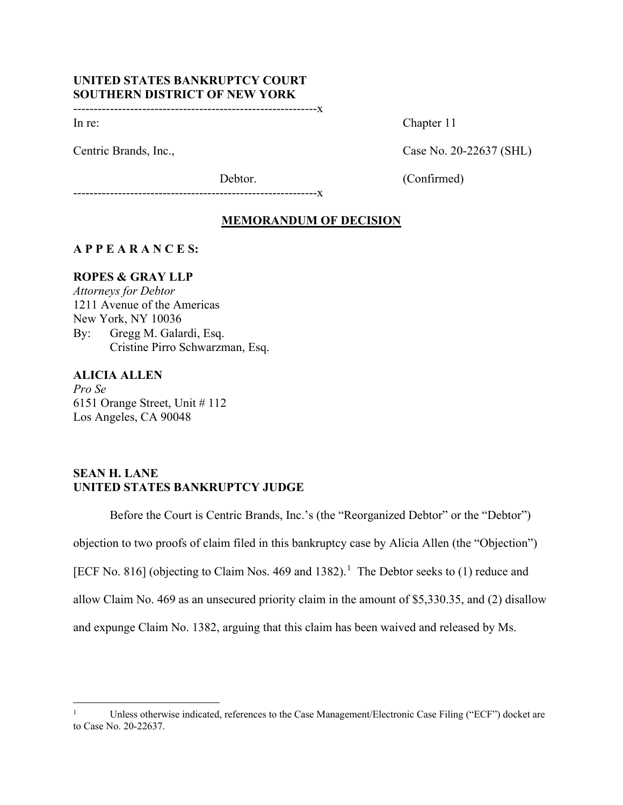# **UNITED STATES BANKRUPTCY COURT SOUTHERN DISTRICT OF NEW YORK**

------------------------------------------------------------x

In re: Chapter 11

Centric Brands, Inc., Case No. 20-22637 (SHL)

Debtor. (Confirmed)

------------------------------------------------------------x

# **MEMORANDUM OF DECISION**

# **A P P E A R A N C E S:**

## **ROPES & GRAY LLP**

*Attorneys for Debtor* 1211 Avenue of the Americas New York, NY 10036 By: Gregg M. Galardi, Esq. Cristine Pirro Schwarzman, Esq.

# **ALICIA ALLEN**

*Pro Se* 6151 Orange Street, Unit # 112 Los Angeles, CA 90048

# **SEAN H. LANE UNITED STATES BANKRUPTCY JUDGE**

Before the Court is Centric Brands, Inc.'s (the "Reorganized Debtor" or the "Debtor") objection to two proofs of claim filed in this bankruptcy case by Alicia Allen (the "Objection") [ECF No. 8[1](#page-0-0)6] (objecting to Claim Nos. 469 and 1382).<sup>1</sup> The Debtor seeks to (1) reduce and allow Claim No. 469 as an unsecured priority claim in the amount of \$5,330.35, and (2) disallow and expunge Claim No. 1382, arguing that this claim has been waived and released by Ms.

<span id="page-0-0"></span><sup>1</sup> Unless otherwise indicated, references to the Case Management/Electronic Case Filing ("ECF") docket are to Case No. 20-22637.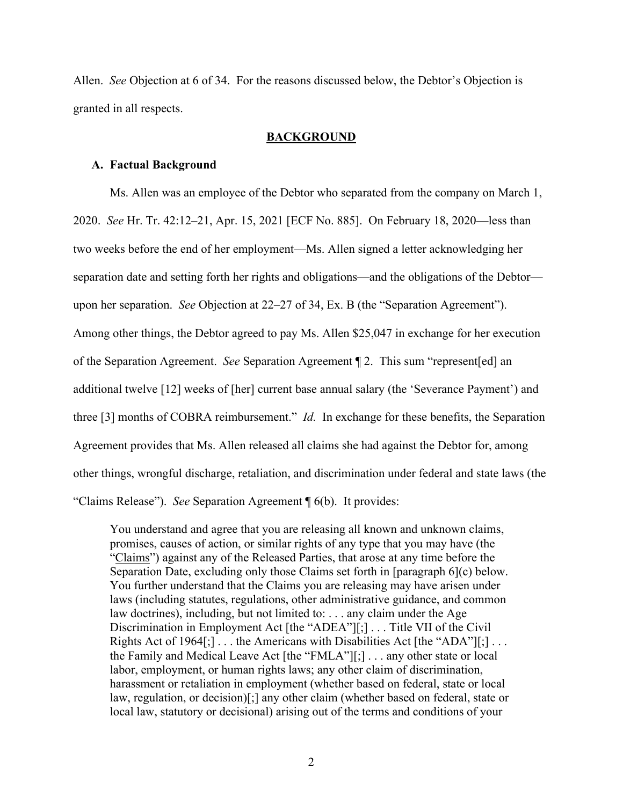Allen. *See* Objection at 6 of 34. For the reasons discussed below, the Debtor's Objection is granted in all respects.

## **BACKGROUND**

#### **A. Factual Background**

Ms. Allen was an employee of the Debtor who separated from the company on March 1, 2020. *See* Hr. Tr. 42:12–21, Apr. 15, 2021 [ECF No. 885]. On February 18, 2020—less than two weeks before the end of her employment—Ms. Allen signed a letter acknowledging her separation date and setting forth her rights and obligations—and the obligations of the Debtor upon her separation. *See* Objection at 22–27 of 34, Ex. B (the "Separation Agreement"). Among other things, the Debtor agreed to pay Ms. Allen \$25,047 in exchange for her execution of the Separation Agreement. *See* Separation Agreement ¶ 2. This sum "represent[ed] an additional twelve [12] weeks of [her] current base annual salary (the 'Severance Payment') and three [3] months of COBRA reimbursement." *Id.* In exchange for these benefits, the Separation Agreement provides that Ms. Allen released all claims she had against the Debtor for, among other things, wrongful discharge, retaliation, and discrimination under federal and state laws (the "Claims Release"). *See* Separation Agreement ¶ 6(b). It provides:

You understand and agree that you are releasing all known and unknown claims, promises, causes of action, or similar rights of any type that you may have (the "Claims") against any of the Released Parties, that arose at any time before the Separation Date, excluding only those Claims set forth in [paragraph 6](c) below. You further understand that the Claims you are releasing may have arisen under laws (including statutes, regulations, other administrative guidance, and common law doctrines), including, but not limited to: . . . any claim under the Age Discrimination in Employment Act [the "ADEA"][;] . . . Title VII of the Civil Rights Act of 1964[;]  $\dots$  the Americans with Disabilities Act [the "ADA"][;]  $\dots$ the Family and Medical Leave Act [the "FMLA"][;] . . . any other state or local labor, employment, or human rights laws; any other claim of discrimination, harassment or retaliation in employment (whether based on federal, state or local law, regulation, or decision)[;] any other claim (whether based on federal, state or local law, statutory or decisional) arising out of the terms and conditions of your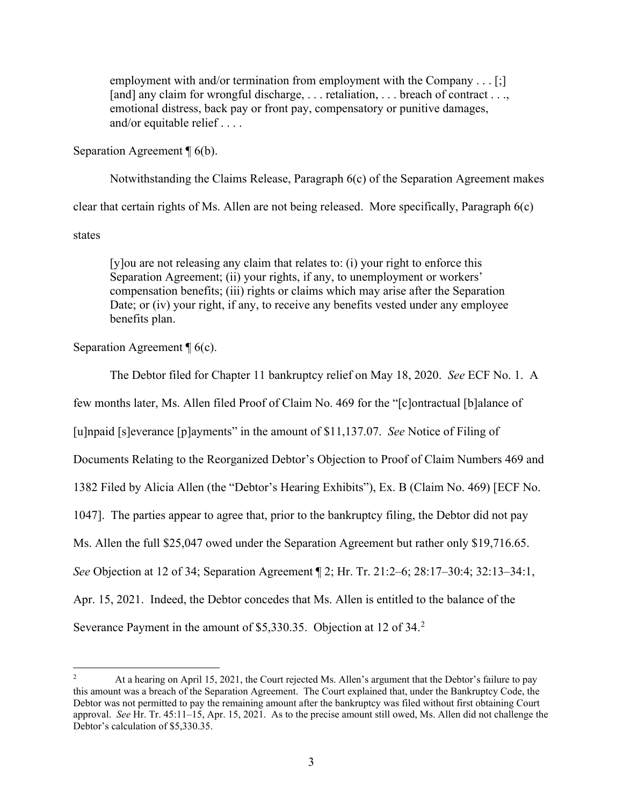employment with and/or termination from employment with the Company . . . [;] [and] any claim for wrongful discharge, ... retaliation, ... breach of contract ..., emotional distress, back pay or front pay, compensatory or punitive damages, and/or equitable relief . . . .

Separation Agreement ¶ 6(b).

Notwithstanding the Claims Release, Paragraph 6(c) of the Separation Agreement makes clear that certain rights of Ms. Allen are not being released. More specifically, Paragraph 6(c) states

[y]ou are not releasing any claim that relates to: (i) your right to enforce this Separation Agreement; (ii) your rights, if any, to unemployment or workers' compensation benefits; (iii) rights or claims which may arise after the Separation Date; or (iv) your right, if any, to receive any benefits vested under any employee benefits plan.

Separation Agreement  $\P$  6(c).

The Debtor filed for Chapter 11 bankruptcy relief on May 18, 2020. *See* ECF No. 1. A

few months later, Ms. Allen filed Proof of Claim No. 469 for the "[c]ontractual [b]alance of

[u]npaid [s]everance [p]ayments" in the amount of \$11,137.07. *See* Notice of Filing of

Documents Relating to the Reorganized Debtor's Objection to Proof of Claim Numbers 469 and

1382 Filed by Alicia Allen (the "Debtor's Hearing Exhibits"), Ex. B (Claim No. 469) [ECF No.

1047]. The parties appear to agree that, prior to the bankruptcy filing, the Debtor did not pay

Ms. Allen the full \$25,047 owed under the Separation Agreement but rather only \$19,716.65.

*See* Objection at 12 of 34; Separation Agreement ¶ 2; Hr. Tr. 21:2–6; 28:17–30:4; 32:13–34:1,

Apr. 15, 2021. Indeed, the Debtor concedes that Ms. Allen is entitled to the balance of the

Severance Payment in the amount of \$5,330.35. Objection at 1[2](#page-2-0) of 34.<sup>2</sup>

<span id="page-2-0"></span><sup>2</sup> At a hearing on April 15, 2021, the Court rejected Ms. Allen's argument that the Debtor's failure to pay this amount was a breach of the Separation Agreement. The Court explained that, under the Bankruptcy Code, the Debtor was not permitted to pay the remaining amount after the bankruptcy was filed without first obtaining Court approval. *See* Hr. Tr. 45:11–15, Apr. 15, 2021. As to the precise amount still owed, Ms. Allen did not challenge the Debtor's calculation of \$5,330.35.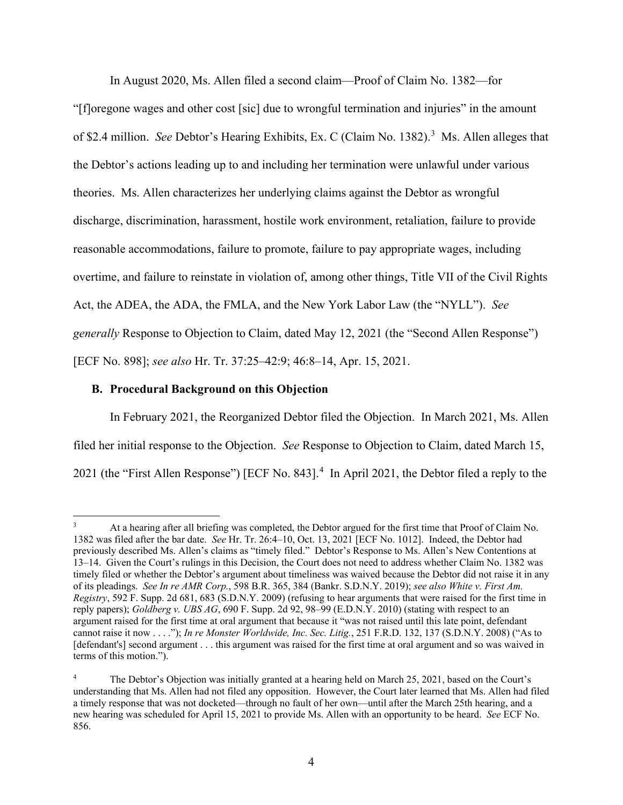In August 2020, Ms. Allen filed a second claim—Proof of Claim No. 1382—for

"[f]oregone wages and other cost [sic] due to wrongful termination and injuries" in the amount of \$2.4 million. *See* Debtor's Hearing Exhibits, Ex. C (Claim No. 1382). [3](#page-3-0) Ms. Allen alleges that the Debtor's actions leading up to and including her termination were unlawful under various theories. Ms. Allen characterizes her underlying claims against the Debtor as wrongful discharge, discrimination, harassment, hostile work environment, retaliation, failure to provide reasonable accommodations, failure to promote, failure to pay appropriate wages, including overtime, and failure to reinstate in violation of, among other things, Title VII of the Civil Rights Act, the ADEA, the ADA, the FMLA, and the New York Labor Law (the "NYLL"). *See generally* Response to Objection to Claim, dated May 12, 2021 (the "Second Allen Response") [ECF No. 898]; *see also* Hr. Tr. 37:25–42:9; 46:8–14, Apr. 15, 2021.

# **B. Procedural Background on this Objection**

In February 2021, the Reorganized Debtor filed the Objection. In March 2021, Ms. Allen filed her initial response to the Objection. *See* Response to Objection to Claim, dated March 15, 2021 (the "First Allen Response") [ECF No. 8[4](#page-3-1)3].<sup>4</sup> In April 2021, the Debtor filed a reply to the

<span id="page-3-0"></span><sup>&</sup>lt;sup>3</sup> At a hearing after all briefing was completed, the Debtor argued for the first time that Proof of Claim No. 1382 was filed after the bar date. *See* Hr. Tr. 26:4–10, Oct. 13, 2021 [ECF No. 1012]. Indeed, the Debtor had previously described Ms. Allen's claims as "timely filed." Debtor's Response to Ms. Allen's New Contentions at 13–14. Given the Court's rulings in this Decision, the Court does not need to address whether Claim No. 1382 was timely filed or whether the Debtor's argument about timeliness was waived because the Debtor did not raise it in any of its pleadings. *See In re AMR Corp.*, 598 B.R. 365, 384 (Bankr. S.D.N.Y. 2019); *see also White v. First Am. Registry*, 592 F. Supp. 2d 681, 683 (S.D.N.Y. 2009) (refusing to hear arguments that were raised for the first time in reply papers); *Goldberg v. UBS AG*, 690 F. Supp. 2d 92, 98–99 (E.D.N.Y. 2010) (stating with respect to an argument raised for the first time at oral argument that because it "was not raised until this late point, defendant cannot raise it now . . . ."); *In re Monster Worldwide, Inc. Sec. Litig.*, 251 F.R.D. 132, 137 (S.D.N.Y. 2008) ("As to [defendant's] second argument . . . this argument was raised for the first time at oral argument and so was waived in terms of this motion.").

<span id="page-3-1"></span><sup>4</sup> The Debtor's Objection was initially granted at a hearing held on March 25, 2021, based on the Court's understanding that Ms. Allen had not filed any opposition. However, the Court later learned that Ms. Allen had filed a timely response that was not docketed—through no fault of her own—until after the March 25th hearing, and a new hearing was scheduled for April 15, 2021 to provide Ms. Allen with an opportunity to be heard. *See* ECF No. 856.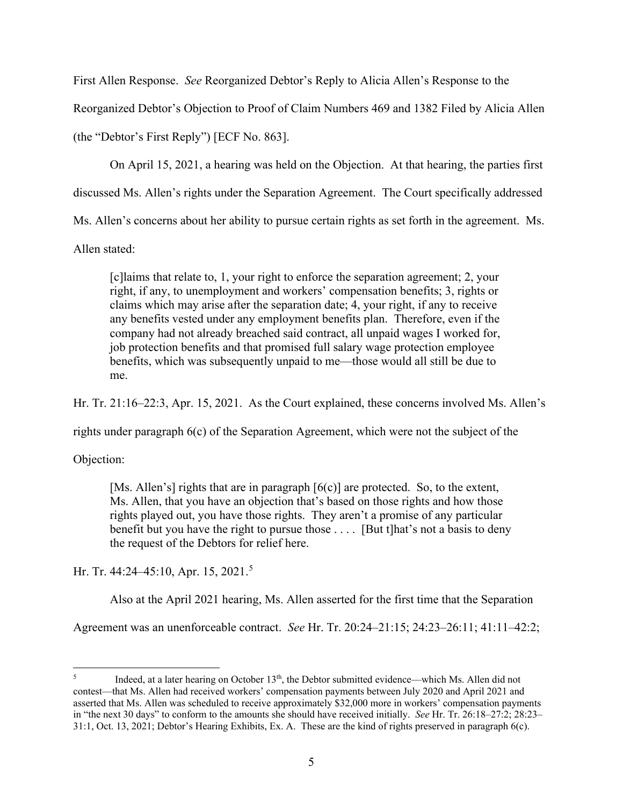First Allen Response. *See* Reorganized Debtor's Reply to Alicia Allen's Response to the

Reorganized Debtor's Objection to Proof of Claim Numbers 469 and 1382 Filed by Alicia Allen

(the "Debtor's First Reply") [ECF No. 863].

On April 15, 2021, a hearing was held on the Objection. At that hearing, the parties first

discussed Ms. Allen's rights under the Separation Agreement. The Court specifically addressed

Ms. Allen's concerns about her ability to pursue certain rights as set forth in the agreement. Ms.

Allen stated:

[c]laims that relate to, 1, your right to enforce the separation agreement; 2, your right, if any, to unemployment and workers' compensation benefits; 3, rights or claims which may arise after the separation date; 4, your right, if any to receive any benefits vested under any employment benefits plan. Therefore, even if the company had not already breached said contract, all unpaid wages I worked for, job protection benefits and that promised full salary wage protection employee benefits, which was subsequently unpaid to me—those would all still be due to me.

Hr. Tr. 21:16–22:3, Apr. 15, 2021. As the Court explained, these concerns involved Ms. Allen's

rights under paragraph 6(c) of the Separation Agreement, which were not the subject of the

Objection:

[Ms. Allen's] rights that are in paragraph  $[6(c)]$  are protected. So, to the extent, Ms. Allen, that you have an objection that's based on those rights and how those rights played out, you have those rights. They aren't a promise of any particular benefit but you have the right to pursue those . . . . [But t]hat's not a basis to deny the request of the Debtors for relief here.

Hr. Tr. 44:24–45:10, Apr. 15, 2021. [5](#page-4-0)

Also at the April 2021 hearing, Ms. Allen asserted for the first time that the Separation

Agreement was an unenforceable contract. *See* Hr. Tr. 20:24–21:15; 24:23–26:11; 41:11–42:2;

<span id="page-4-0"></span> $5$  Indeed, at a later hearing on October 13<sup>th</sup>, the Debtor submitted evidence—which Ms. Allen did not contest—that Ms. Allen had received workers' compensation payments between July 2020 and April 2021 and asserted that Ms. Allen was scheduled to receive approximately \$32,000 more in workers' compensation payments in "the next 30 days" to conform to the amounts she should have received initially. *See* Hr. Tr. 26:18–27:2; 28:23– 31:1, Oct. 13, 2021; Debtor's Hearing Exhibits, Ex. A. These are the kind of rights preserved in paragraph 6(c).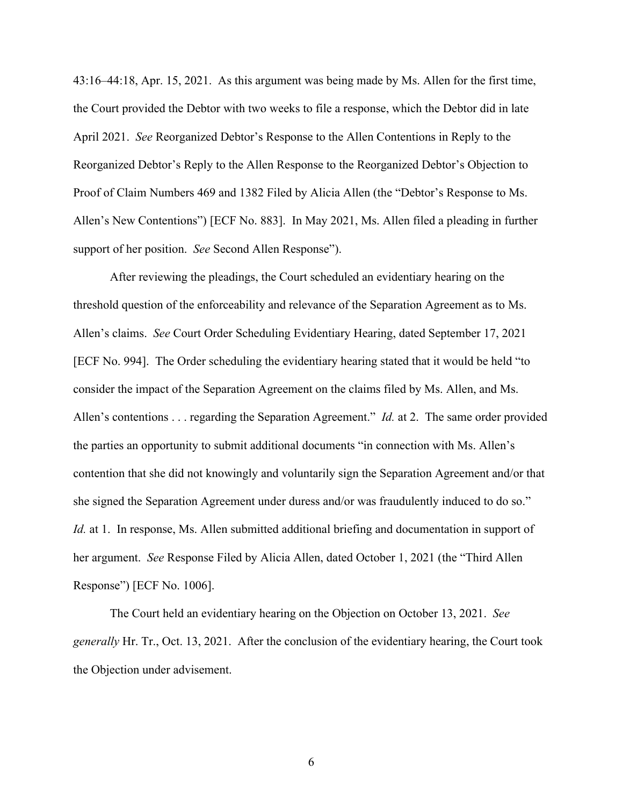43:16–44:18, Apr. 15, 2021. As this argument was being made by Ms. Allen for the first time, the Court provided the Debtor with two weeks to file a response, which the Debtor did in late April 2021. *See* Reorganized Debtor's Response to the Allen Contentions in Reply to the Reorganized Debtor's Reply to the Allen Response to the Reorganized Debtor's Objection to Proof of Claim Numbers 469 and 1382 Filed by Alicia Allen (the "Debtor's Response to Ms. Allen's New Contentions") [ECF No. 883]. In May 2021, Ms. Allen filed a pleading in further support of her position. *See* Second Allen Response").

After reviewing the pleadings, the Court scheduled an evidentiary hearing on the threshold question of the enforceability and relevance of the Separation Agreement as to Ms. Allen's claims. *See* Court Order Scheduling Evidentiary Hearing, dated September 17, 2021 [ECF No. 994]. The Order scheduling the evidentiary hearing stated that it would be held "to consider the impact of the Separation Agreement on the claims filed by Ms. Allen, and Ms. Allen's contentions . . . regarding the Separation Agreement." *Id.* at 2. The same order provided the parties an opportunity to submit additional documents "in connection with Ms. Allen's contention that she did not knowingly and voluntarily sign the Separation Agreement and/or that she signed the Separation Agreement under duress and/or was fraudulently induced to do so." *Id.* at 1. In response, Ms. Allen submitted additional briefing and documentation in support of her argument. *See* Response Filed by Alicia Allen, dated October 1, 2021 (the "Third Allen Response") [ECF No. 1006].

The Court held an evidentiary hearing on the Objection on October 13, 2021. *See generally* Hr. Tr., Oct. 13, 2021. After the conclusion of the evidentiary hearing, the Court took the Objection under advisement.

6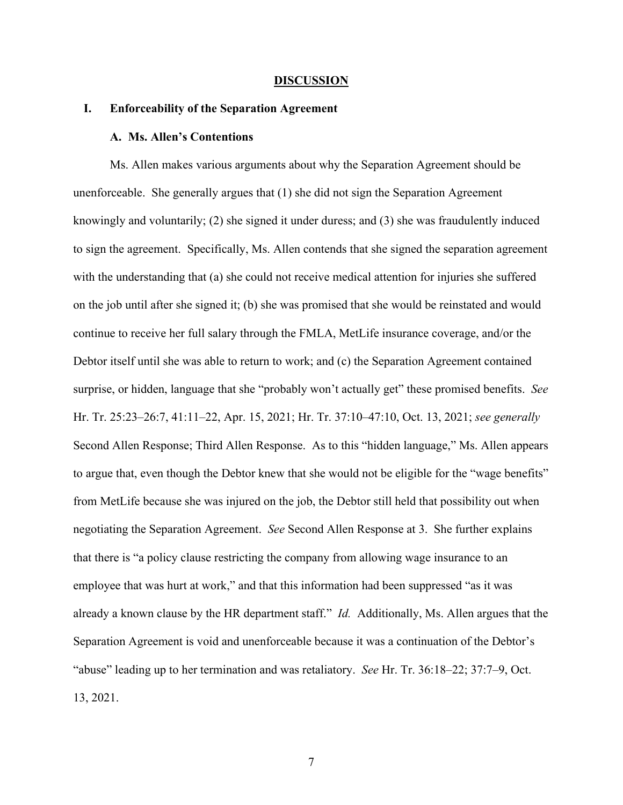#### **DISCUSSION**

## **I. Enforceability of the Separation Agreement**

#### **A. Ms. Allen's Contentions**

Ms. Allen makes various arguments about why the Separation Agreement should be unenforceable. She generally argues that (1) she did not sign the Separation Agreement knowingly and voluntarily; (2) she signed it under duress; and (3) she was fraudulently induced to sign the agreement. Specifically, Ms. Allen contends that she signed the separation agreement with the understanding that (a) she could not receive medical attention for injuries she suffered on the job until after she signed it; (b) she was promised that she would be reinstated and would continue to receive her full salary through the FMLA, MetLife insurance coverage, and/or the Debtor itself until she was able to return to work; and (c) the Separation Agreement contained surprise, or hidden, language that she "probably won't actually get" these promised benefits. *See* Hr. Tr. 25:23–26:7, 41:11–22, Apr. 15, 2021; Hr. Tr. 37:10–47:10, Oct. 13, 2021; *see generally* Second Allen Response; Third Allen Response. As to this "hidden language," Ms. Allen appears to argue that, even though the Debtor knew that she would not be eligible for the "wage benefits" from MetLife because she was injured on the job, the Debtor still held that possibility out when negotiating the Separation Agreement. *See* Second Allen Response at 3. She further explains that there is "a policy clause restricting the company from allowing wage insurance to an employee that was hurt at work," and that this information had been suppressed "as it was already a known clause by the HR department staff." *Id.* Additionally, Ms. Allen argues that the Separation Agreement is void and unenforceable because it was a continuation of the Debtor's "abuse" leading up to her termination and was retaliatory. *See* Hr. Tr. 36:18–22; 37:7–9, Oct. 13, 2021.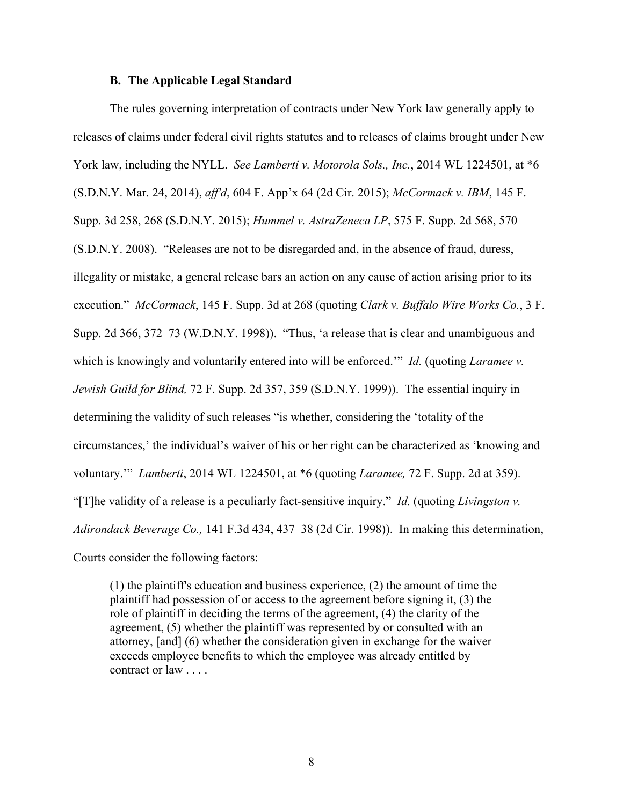#### **B. The Applicable Legal Standard**

The rules governing interpretation of contracts under New York law generally apply to releases of claims under federal civil rights statutes and to releases of claims brought under New York law, including the NYLL. *See Lamberti v. Motorola Sols., Inc.*, 2014 WL 1224501, at \*6 (S.D.N.Y. Mar. 24, 2014), *aff'd*, 604 F. App'x 64 (2d Cir. 2015); *McCormack v. IBM*, 145 F. Supp. 3d 258, 268 (S.D.N.Y. 2015); *Hummel v. AstraZeneca LP*, 575 F. Supp. 2d 568, 570 (S.D.N.Y. 2008). "Releases are not to be disregarded and, in the absence of fraud, duress, illegality or mistake, a general release bars an action on any cause of action arising prior to its execution." *McCormack*, 145 F. Supp. 3d at 268 (quoting *Clark v. Buffalo Wire Works Co.*, 3 F. Supp. 2d 366, 372–73 (W.D.N.Y. 1998)). "Thus, 'a release that is clear and unambiguous and which is knowingly and voluntarily entered into will be enforced." *Id.* (quoting *Laramee v. Jewish Guild for Blind,* 72 F. Supp. 2d 357, 359 (S.D.N.Y. 1999)). The essential inquiry in determining the validity of such releases "is whether, considering the 'totality of the circumstances,' the individual's waiver of his or her right can be characterized as 'knowing and voluntary.'" *Lamberti*, 2014 WL 1224501, at \*6 (quoting *Laramee,* 72 F. Supp. 2d at 359). "[T]he validity of a release is a peculiarly fact-sensitive inquiry." *Id.* (quoting *Livingston v. Adirondack Beverage Co.,* 141 F.3d 434, 437–38 (2d Cir. 1998)). In making this determination, Courts consider the following factors:

(1) the plaintiff's education and business experience, (2) the amount of time the plaintiff had possession of or access to the agreement before signing it, (3) the role of plaintiff in deciding the terms of the agreement, (4) the clarity of the agreement, (5) whether the plaintiff was represented by or consulted with an attorney, [and] (6) whether the consideration given in exchange for the waiver exceeds employee benefits to which the employee was already entitled by contract or law . . . .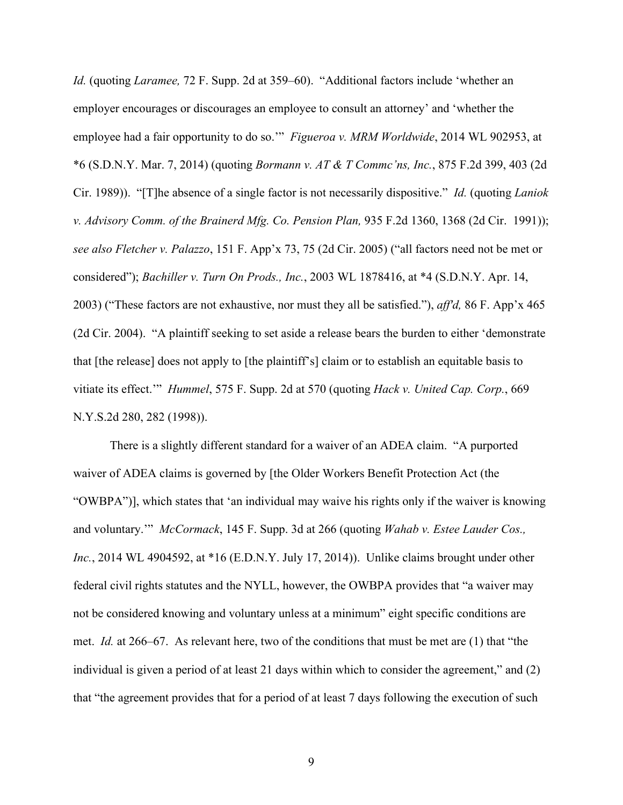*Id.* (quoting *Laramee,* 72 F. Supp. 2d at 359–60). "Additional factors include 'whether an employer encourages or discourages an employee to consult an attorney' and 'whether the employee had a fair opportunity to do so.'" *Figueroa v. MRM Worldwide*, 2014 WL 902953, at \*6 (S.D.N.Y. Mar. 7, 2014) (quoting *Bormann v. AT & T Commc'ns, Inc.*, 875 F.2d 399, 403 (2d Cir. 1989)). "[T]he absence of a single factor is not necessarily dispositive." *Id.* (quoting *Laniok v. Advisory Comm. of the Brainerd Mfg. Co. Pension Plan,* 935 F.2d 1360, 1368 (2d Cir. 1991)); *see also Fletcher v. Palazzo*, 151 F. App'x 73, 75 (2d Cir. 2005) ("all factors need not be met or considered"); *Bachiller v. Turn On Prods., Inc.*, 2003 WL 1878416, at \*4 (S.D.N.Y. Apr. 14, 2003) ("These factors are not exhaustive, nor must they all be satisfied."), *aff'd,* 86 F. App'x 465 (2d Cir. 2004). "A plaintiff seeking to set aside a release bears the burden to either 'demonstrate that [the release] does not apply to [the plaintiff's] claim or to establish an equitable basis to vitiate its effect.'" *Hummel*, 575 F. Supp. 2d at 570 (quoting *Hack v. United Cap. Corp.*, 669 N.Y.S.2d 280, 282 (1998)).

There is a slightly different standard for a waiver of an ADEA claim. "A purported waiver of ADEA claims is governed by [the Older Workers Benefit Protection Act (the "OWBPA")], which states that 'an individual may waive his rights only if the waiver is knowing and voluntary.'" *McCormack*, 145 F. Supp. 3d at 266 (quoting *Wahab v. Estee Lauder Cos., Inc.*, 2014 WL 4904592, at \*16 (E.D.N.Y. July 17, 2014)). Unlike claims brought under other federal civil rights statutes and the NYLL, however, the OWBPA provides that "a waiver may not be considered knowing and voluntary unless at a minimum" eight specific conditions are met. *Id.* at 266–67. As relevant here, two of the conditions that must be met are (1) that "the individual is given a period of at least 21 days within which to consider the agreement," and (2) that "the agreement provides that for a period of at least 7 days following the execution of such

9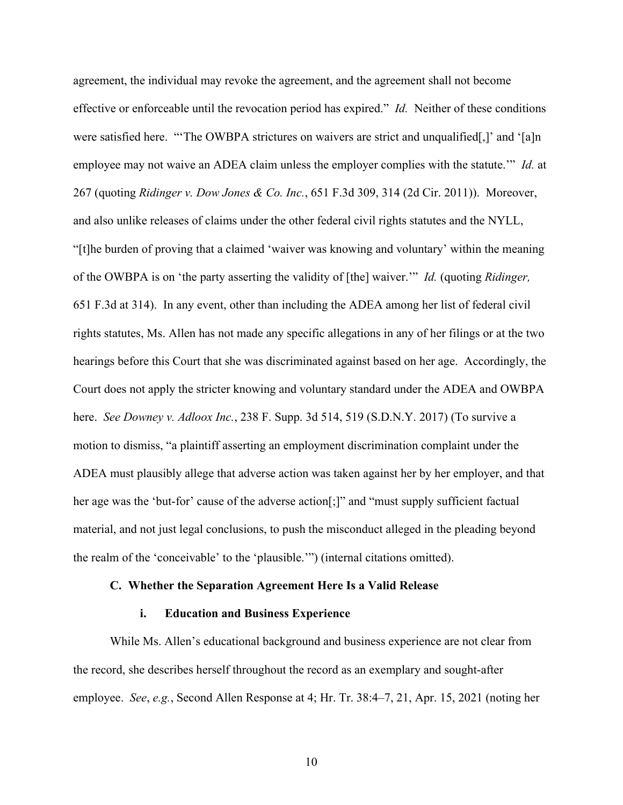agreement, the individual may revoke the agreement, and the agreement shall not become effective or enforceable until the revocation period has expired." *Id.* Neither of these conditions were satisfied here. "The OWBPA strictures on waivers are strict and unqualified[,]' and '[a]n employee may not waive an ADEA claim unless the employer complies with the statute.'" *Id.* at 267 (quoting *Ridinger v. Dow Jones & Co. Inc.*, 651 F.3d 309, 314 (2d Cir. 2011)). Moreover, and also unlike releases of claims under the other federal civil rights statutes and the NYLL, "[t]he burden of proving that a claimed 'waiver was knowing and voluntary' within the meaning of the OWBPA is on 'the party asserting the validity of [the] waiver.'" *Id.* (quoting *Ridinger,* 651 F.3d at 314). In any event, other than including the ADEA among her list of federal civil rights statutes, Ms. Allen has not made any specific allegations in any of her filings or at the two hearings before this Court that she was discriminated against based on her age. Accordingly, the Court does not apply the stricter knowing and voluntary standard under the ADEA and OWBPA here. *See Downey v. Adloox Inc.*, 238 F. Supp. 3d 514, 519 (S.D.N.Y. 2017) (To survive a motion to dismiss, "a plaintiff asserting an employment discrimination complaint under the ADEA must plausibly allege that adverse action was taken against her by her employer, and that her age was the 'but-for' cause of the adverse action[;]" and "must supply sufficient factual material, and not just legal conclusions, to push the misconduct alleged in the pleading beyond the realm of the 'conceivable' to the 'plausible.'") (internal citations omitted).

#### **C. Whether the Separation Agreement Here Is a Valid Release**

### **i. Education and Business Experience**

While Ms. Allen's educational background and business experience are not clear from the record, she describes herself throughout the record as an exemplary and sought-after employee. *See*, *e.g.*, Second Allen Response at 4; Hr. Tr. 38:4–7, 21, Apr. 15, 2021 (noting her

10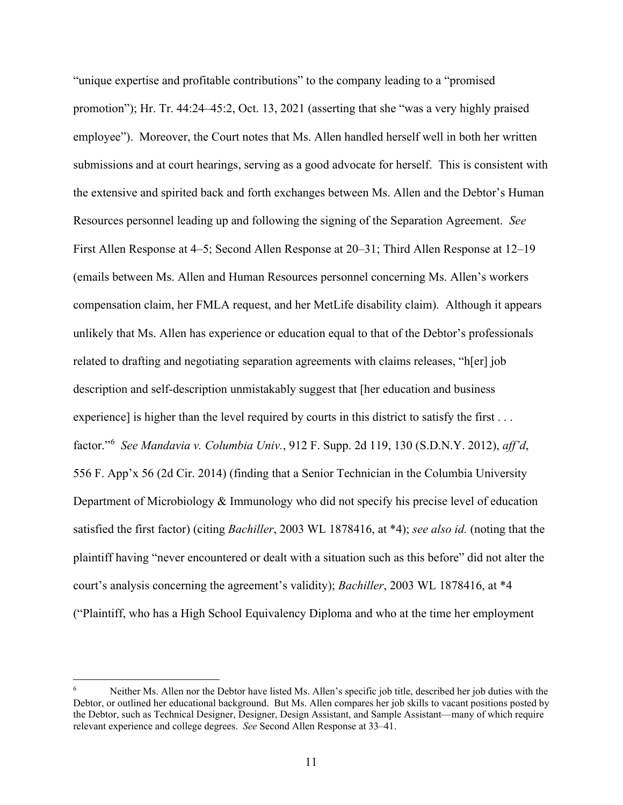"unique expertise and profitable contributions" to the company leading to a "promised promotion"); Hr. Tr. 44:24–45:2, Oct. 13, 2021 (asserting that she "was a very highly praised employee"). Moreover, the Court notes that Ms. Allen handled herself well in both her written submissions and at court hearings, serving as a good advocate for herself. This is consistent with the extensive and spirited back and forth exchanges between Ms. Allen and the Debtor's Human Resources personnel leading up and following the signing of the Separation Agreement. *See* First Allen Response at 4–5; Second Allen Response at 20–31; Third Allen Response at 12–19 (emails between Ms. Allen and Human Resources personnel concerning Ms. Allen's workers compensation claim, her FMLA request, and her MetLife disability claim). Although it appears unlikely that Ms. Allen has experience or education equal to that of the Debtor's professionals related to drafting and negotiating separation agreements with claims releases, "h[er] job description and self-description unmistakably suggest that [her education and business experience] is higher than the level required by courts in this district to satisfy the first . . . factor."[6](#page-10-0) *See Mandavia v. Columbia Univ.*, 912 F. Supp. 2d 119, 130 (S.D.N.Y. 2012), *aff'd*, 556 F. App'x 56 (2d Cir. 2014) (finding that a Senior Technician in the Columbia University Department of Microbiology & Immunology who did not specify his precise level of education satisfied the first factor) (citing *Bachiller*, 2003 WL 1878416, at \*4); *see also id.* (noting that the plaintiff having "never encountered or dealt with a situation such as this before" did not alter the court's analysis concerning the agreement's validity); *Bachiller*, 2003 WL 1878416, at \*4 ("Plaintiff, who has a High School Equivalency Diploma and who at the time her employment

<span id="page-10-0"></span>Neither Ms. Allen nor the Debtor have listed Ms. Allen's specific job title, described her job duties with the Debtor, or outlined her educational background. But Ms. Allen compares her job skills to vacant positions posted by the Debtor, such as Technical Designer, Designer, Design Assistant, and Sample Assistant—many of which require relevant experience and college degrees. *See* Second Allen Response at 33–41.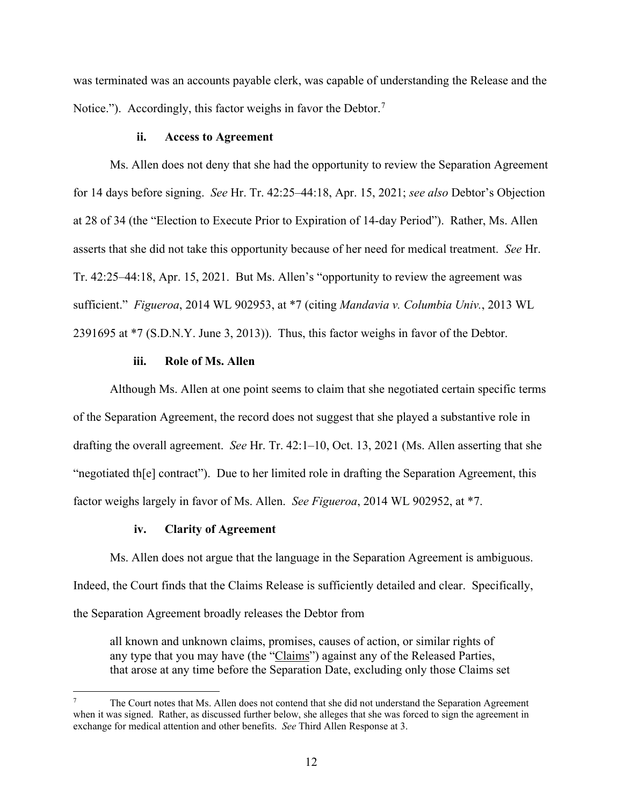was terminated was an accounts payable clerk, was capable of understanding the Release and the Notice."). Accordingly, this factor weighs in favor the Debtor.<sup>[7](#page-11-0)</sup>

#### **ii. Access to Agreement**

Ms. Allen does not deny that she had the opportunity to review the Separation Agreement for 14 days before signing. *See* Hr. Tr. 42:25–44:18, Apr. 15, 2021; *see also* Debtor's Objection at 28 of 34 (the "Election to Execute Prior to Expiration of 14-day Period"). Rather, Ms. Allen asserts that she did not take this opportunity because of her need for medical treatment. *See* Hr. Tr. 42:25–44:18, Apr. 15, 2021. But Ms. Allen's "opportunity to review the agreement was sufficient." *Figueroa*, 2014 WL 902953, at \*7 (citing *Mandavia v. Columbia Univ.*, 2013 WL 2391695 at \*7 (S.D.N.Y. June 3, 2013)). Thus, this factor weighs in favor of the Debtor.

#### **iii. Role of Ms. Allen**

Although Ms. Allen at one point seems to claim that she negotiated certain specific terms of the Separation Agreement, the record does not suggest that she played a substantive role in drafting the overall agreement. *See* Hr. Tr. 42:1–10, Oct. 13, 2021 (Ms. Allen asserting that she "negotiated th[e] contract"). Due to her limited role in drafting the Separation Agreement, this factor weighs largely in favor of Ms. Allen. *See Figueroa*, 2014 WL 902952, at \*7.

## **iv. Clarity of Agreement**

Ms. Allen does not argue that the language in the Separation Agreement is ambiguous. Indeed, the Court finds that the Claims Release is sufficiently detailed and clear. Specifically, the Separation Agreement broadly releases the Debtor from

all known and unknown claims, promises, causes of action, or similar rights of any type that you may have (the "Claims") against any of the Released Parties, that arose at any time before the Separation Date, excluding only those Claims set

<span id="page-11-0"></span>The Court notes that Ms. Allen does not contend that she did not understand the Separation Agreement when it was signed. Rather, as discussed further below, she alleges that she was forced to sign the agreement in exchange for medical attention and other benefits. *See* Third Allen Response at 3.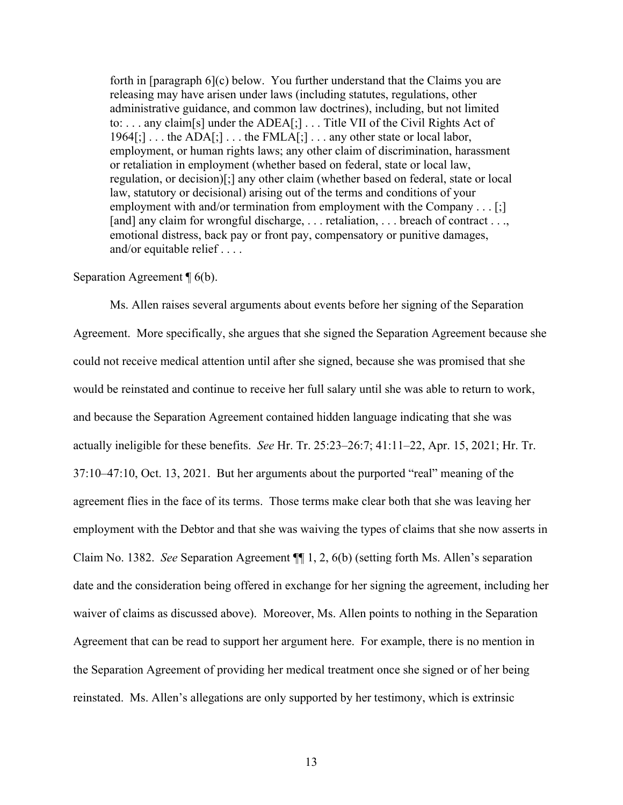forth in [paragraph 6](c) below. You further understand that the Claims you are releasing may have arisen under laws (including statutes, regulations, other administrative guidance, and common law doctrines), including, but not limited to: . . . any claim[s] under the ADEA[;] . . . Title VII of the Civil Rights Act of  $1964$ [;] ... the ADA[;] ... the FMLA[;] ... any other state or local labor, employment, or human rights laws; any other claim of discrimination, harassment or retaliation in employment (whether based on federal, state or local law, regulation, or decision)[;] any other claim (whether based on federal, state or local law, statutory or decisional) arising out of the terms and conditions of your employment with and/or termination from employment with the Company . . . [;] [and] any claim for wrongful discharge, ... retaliation, ... breach of contract ... emotional distress, back pay or front pay, compensatory or punitive damages, and/or equitable relief . . . .

#### Separation Agreement  $\P$  6(b).

Ms. Allen raises several arguments about events before her signing of the Separation Agreement. More specifically, she argues that she signed the Separation Agreement because she could not receive medical attention until after she signed, because she was promised that she would be reinstated and continue to receive her full salary until she was able to return to work, and because the Separation Agreement contained hidden language indicating that she was actually ineligible for these benefits. *See* Hr. Tr. 25:23–26:7; 41:11–22, Apr. 15, 2021; Hr. Tr. 37:10–47:10, Oct. 13, 2021. But her arguments about the purported "real" meaning of the agreement flies in the face of its terms. Those terms make clear both that she was leaving her employment with the Debtor and that she was waiving the types of claims that she now asserts in Claim No. 1382. *See* Separation Agreement ¶¶ 1, 2, 6(b) (setting forth Ms. Allen's separation date and the consideration being offered in exchange for her signing the agreement, including her waiver of claims as discussed above). Moreover, Ms. Allen points to nothing in the Separation Agreement that can be read to support her argument here. For example, there is no mention in the Separation Agreement of providing her medical treatment once she signed or of her being reinstated. Ms. Allen's allegations are only supported by her testimony, which is extrinsic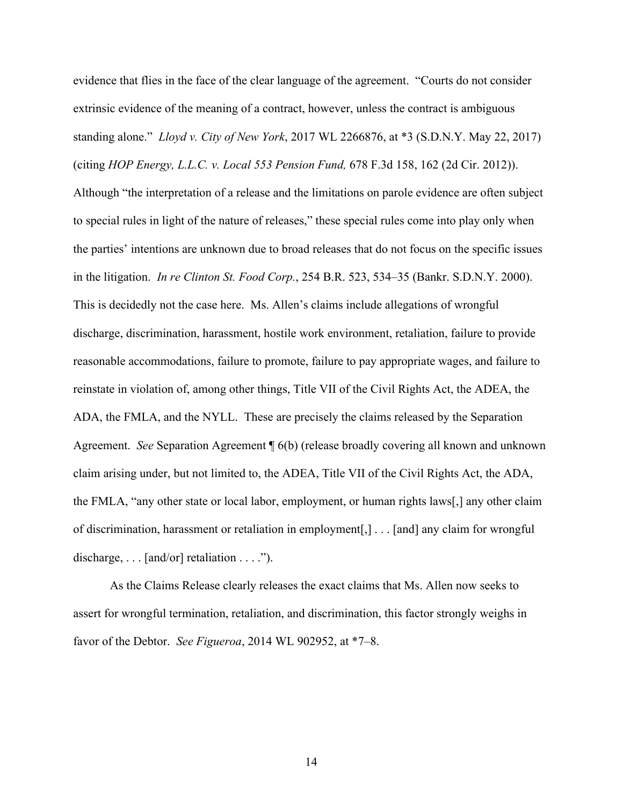evidence that flies in the face of the clear language of the agreement. "Courts do not consider extrinsic evidence of the meaning of a contract, however, unless the contract is ambiguous standing alone." *Lloyd v. City of New York*, 2017 WL 2266876, at \*3 (S.D.N.Y. May 22, 2017) (citing *HOP Energy, L.L.C. v. Local 553 Pension Fund,* 678 F.3d 158, 162 (2d Cir. 2012)). Although "the interpretation of a release and the limitations on parole evidence are often subject to special rules in light of the nature of releases," these special rules come into play only when the parties' intentions are unknown due to broad releases that do not focus on the specific issues in the litigation. *In re Clinton St. Food Corp.*, 254 B.R. 523, 534–35 (Bankr. S.D.N.Y. 2000). This is decidedly not the case here. Ms. Allen's claims include allegations of wrongful discharge, discrimination, harassment, hostile work environment, retaliation, failure to provide reasonable accommodations, failure to promote, failure to pay appropriate wages, and failure to reinstate in violation of, among other things, Title VII of the Civil Rights Act, the ADEA, the ADA, the FMLA, and the NYLL. These are precisely the claims released by the Separation Agreement. *See* Separation Agreement ¶ 6(b) (release broadly covering all known and unknown claim arising under, but not limited to, the ADEA, Title VII of the Civil Rights Act, the ADA, the FMLA, "any other state or local labor, employment, or human rights laws[,] any other claim of discrimination, harassment or retaliation in employment[,] . . . [and] any claim for wrongful discharge,  $\dots$  [and/or] retaliation  $\dots$ .").

As the Claims Release clearly releases the exact claims that Ms. Allen now seeks to assert for wrongful termination, retaliation, and discrimination, this factor strongly weighs in favor of the Debtor. *See Figueroa*, 2014 WL 902952, at \*7–8.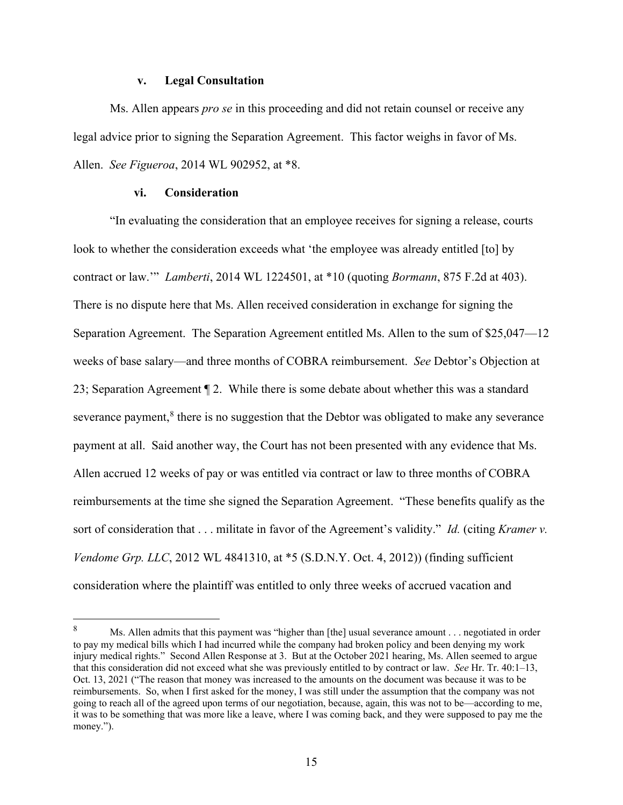#### **v. Legal Consultation**

Ms. Allen appears *pro se* in this proceeding and did not retain counsel or receive any legal advice prior to signing the Separation Agreement. This factor weighs in favor of Ms. Allen. *See Figueroa*, 2014 WL 902952, at \*8.

## **vi. Consideration**

"In evaluating the consideration that an employee receives for signing a release, courts look to whether the consideration exceeds what 'the employee was already entitled [to] by contract or law.'" *Lamberti*, 2014 WL 1224501, at \*10 (quoting *Bormann*, 875 F.2d at 403). There is no dispute here that Ms. Allen received consideration in exchange for signing the Separation Agreement. The Separation Agreement entitled Ms. Allen to the sum of \$25,047—12 weeks of base salary—and three months of COBRA reimbursement. *See* Debtor's Objection at 23; Separation Agreement ¶ 2. While there is some debate about whether this was a standard severance payment, $<sup>8</sup>$  $<sup>8</sup>$  $<sup>8</sup>$  there is no suggestion that the Debtor was obligated to make any severance</sup> payment at all. Said another way, the Court has not been presented with any evidence that Ms. Allen accrued 12 weeks of pay or was entitled via contract or law to three months of COBRA reimbursements at the time she signed the Separation Agreement. "These benefits qualify as the sort of consideration that . . . militate in favor of the Agreement's validity." *Id.* (citing *Kramer v. Vendome Grp. LLC*, 2012 WL 4841310, at \*5 (S.D.N.Y. Oct. 4, 2012)) (finding sufficient consideration where the plaintiff was entitled to only three weeks of accrued vacation and

<span id="page-14-0"></span><sup>8</sup> Ms. Allen admits that this payment was "higher than [the] usual severance amount . . . negotiated in order to pay my medical bills which I had incurred while the company had broken policy and been denying my work injury medical rights." Second Allen Response at 3. But at the October 2021 hearing, Ms. Allen seemed to argue that this consideration did not exceed what she was previously entitled to by contract or law. *See* Hr. Tr. 40:1–13, Oct. 13, 2021 ("The reason that money was increased to the amounts on the document was because it was to be reimbursements. So, when I first asked for the money, I was still under the assumption that the company was not going to reach all of the agreed upon terms of our negotiation, because, again, this was not to be—according to me, it was to be something that was more like a leave, where I was coming back, and they were supposed to pay me the money.").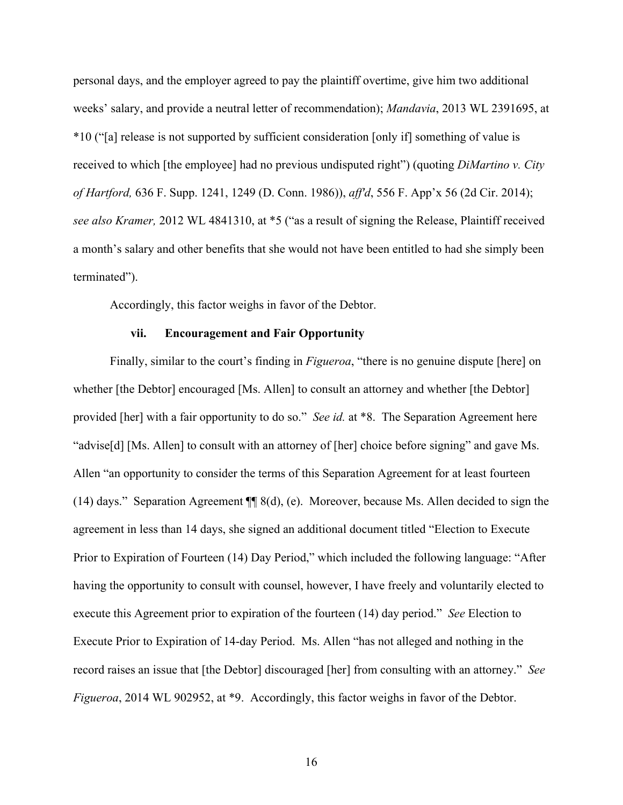personal days, and the employer agreed to pay the plaintiff overtime, give him two additional weeks' salary, and provide a neutral letter of recommendation); *Mandavia*, 2013 WL 2391695, at \*10 ("[a] release is not supported by sufficient consideration [only if] something of value is received to which [the employee] had no previous undisputed right") (quoting *DiMartino v. City of Hartford,* 636 F. Supp. 1241, 1249 (D. Conn. 1986)), *aff'd*, 556 F. App'x 56 (2d Cir. 2014); *see also Kramer,* 2012 WL 4841310, at \*5 ("as a result of signing the Release, Plaintiff received a month's salary and other benefits that she would not have been entitled to had she simply been terminated").

Accordingly, this factor weighs in favor of the Debtor.

## **vii. Encouragement and Fair Opportunity**

Finally, similar to the court's finding in *Figueroa*, "there is no genuine dispute [here] on whether [the Debtor] encouraged [Ms. Allen] to consult an attorney and whether [the Debtor] provided [her] with a fair opportunity to do so." *See id.* at \*8. The Separation Agreement here "advise[d] [Ms. Allen] to consult with an attorney of [her] choice before signing" and gave Ms. Allen "an opportunity to consider the terms of this Separation Agreement for at least fourteen (14) days." Separation Agreement  $\P$  8(d), (e). Moreover, because Ms. Allen decided to sign the agreement in less than 14 days, she signed an additional document titled "Election to Execute Prior to Expiration of Fourteen (14) Day Period," which included the following language: "After having the opportunity to consult with counsel, however, I have freely and voluntarily elected to execute this Agreement prior to expiration of the fourteen (14) day period." *See* Election to Execute Prior to Expiration of 14-day Period. Ms. Allen "has not alleged and nothing in the record raises an issue that [the Debtor] discouraged [her] from consulting with an attorney." *See Figueroa*, 2014 WL 902952, at \*9. Accordingly, this factor weighs in favor of the Debtor.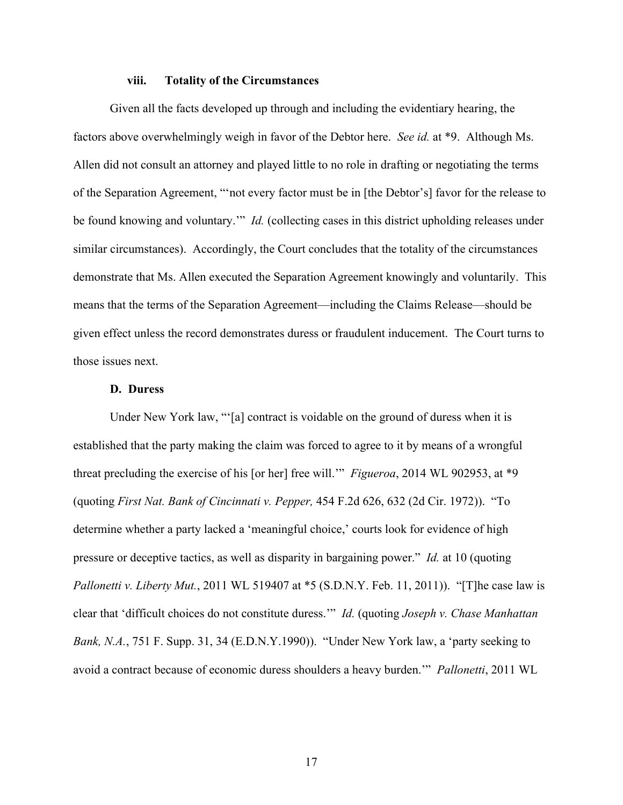#### **viii. Totality of the Circumstances**

Given all the facts developed up through and including the evidentiary hearing, the factors above overwhelmingly weigh in favor of the Debtor here. *See id.* at \*9. Although Ms. Allen did not consult an attorney and played little to no role in drafting or negotiating the terms of the Separation Agreement, "'not every factor must be in [the Debtor's] favor for the release to be found knowing and voluntary.'" *Id.* (collecting cases in this district upholding releases under similar circumstances). Accordingly, the Court concludes that the totality of the circumstances demonstrate that Ms. Allen executed the Separation Agreement knowingly and voluntarily. This means that the terms of the Separation Agreement—including the Claims Release—should be given effect unless the record demonstrates duress or fraudulent inducement. The Court turns to those issues next.

## **D. Duress**

Under New York law, "'[a] contract is voidable on the ground of duress when it is established that the party making the claim was forced to agree to it by means of a wrongful threat precluding the exercise of his [or her] free will.'" *Figueroa*, 2014 WL 902953, at \*9 (quoting *First Nat. Bank of Cincinnati v. Pepper,* 454 F.2d 626, 632 (2d Cir. 1972)). "To determine whether a party lacked a 'meaningful choice,' courts look for evidence of high pressure or deceptive tactics, as well as disparity in bargaining power." *Id.* at 10 (quoting *Pallonetti v. Liberty Mut.*, 2011 WL 519407 at \*5 (S.D.N.Y. Feb. 11, 2011)). "[T]he case law is clear that 'difficult choices do not constitute duress.'" *Id.* (quoting *Joseph v. Chase Manhattan Bank, N.A.*, 751 F. Supp. 31, 34 (E.D.N.Y.1990)). "Under New York law, a 'party seeking to avoid a contract because of economic duress shoulders a heavy burden.'" *Pallonetti*, 2011 WL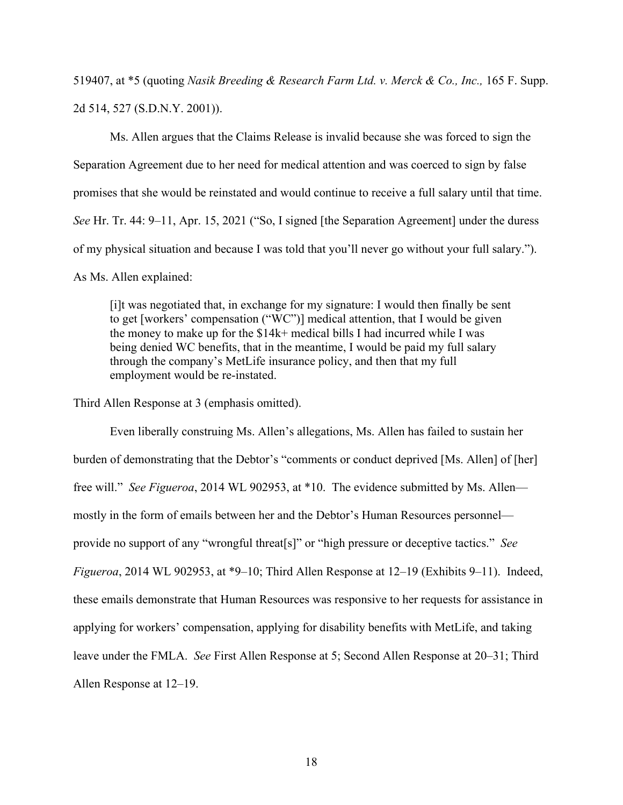519407, at \*5 (quoting *Nasik Breeding & Research Farm Ltd. v. Merck & Co., Inc.,* 165 F. Supp. 2d 514, 527 (S.D.N.Y. 2001)).

Ms. Allen argues that the Claims Release is invalid because she was forced to sign the Separation Agreement due to her need for medical attention and was coerced to sign by false promises that she would be reinstated and would continue to receive a full salary until that time. *See* Hr. Tr. 44: 9–11, Apr. 15, 2021 ("So, I signed [the Separation Agreement] under the duress of my physical situation and because I was told that you'll never go without your full salary."). As Ms. Allen explained:

[i]t was negotiated that, in exchange for my signature: I would then finally be sent to get [workers' compensation ("WC")] medical attention, that I would be given the money to make up for the \$14k+ medical bills I had incurred while I was being denied WC benefits, that in the meantime, I would be paid my full salary through the company's MetLife insurance policy, and then that my full employment would be re-instated.

Third Allen Response at 3 (emphasis omitted).

Even liberally construing Ms. Allen's allegations, Ms. Allen has failed to sustain her burden of demonstrating that the Debtor's "comments or conduct deprived [Ms. Allen] of [her] free will." *See Figueroa*, 2014 WL 902953, at \*10. The evidence submitted by Ms. Allen mostly in the form of emails between her and the Debtor's Human Resources personnel provide no support of any "wrongful threat[s]" or "high pressure or deceptive tactics." *See Figueroa*, 2014 WL 902953, at \*9–10; Third Allen Response at 12–19 (Exhibits 9–11). Indeed, these emails demonstrate that Human Resources was responsive to her requests for assistance in applying for workers' compensation, applying for disability benefits with MetLife, and taking leave under the FMLA. *See* First Allen Response at 5; Second Allen Response at 20–31; Third Allen Response at 12–19.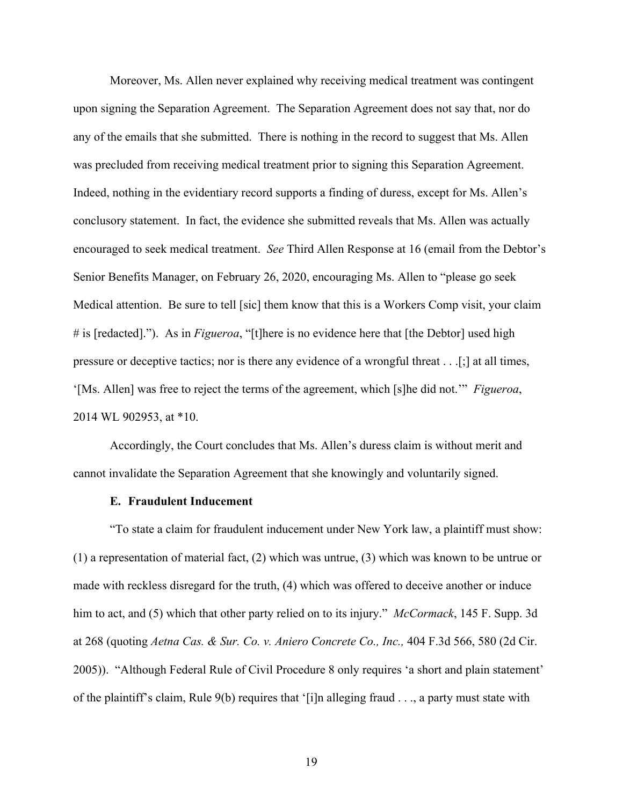Moreover, Ms. Allen never explained why receiving medical treatment was contingent upon signing the Separation Agreement. The Separation Agreement does not say that, nor do any of the emails that she submitted. There is nothing in the record to suggest that Ms. Allen was precluded from receiving medical treatment prior to signing this Separation Agreement. Indeed, nothing in the evidentiary record supports a finding of duress, except for Ms. Allen's conclusory statement. In fact, the evidence she submitted reveals that Ms. Allen was actually encouraged to seek medical treatment. *See* Third Allen Response at 16 (email from the Debtor's Senior Benefits Manager, on February 26, 2020, encouraging Ms. Allen to "please go seek Medical attention. Be sure to tell [sic] them know that this is a Workers Comp visit, your claim # is [redacted]."). As in *Figueroa*, "[t]here is no evidence here that [the Debtor] used high pressure or deceptive tactics; nor is there any evidence of a wrongful threat . . .[;] at all times, '[Ms. Allen] was free to reject the terms of the agreement, which [s]he did not.'" *Figueroa*, 2014 WL 902953, at \*10.

Accordingly, the Court concludes that Ms. Allen's duress claim is without merit and cannot invalidate the Separation Agreement that she knowingly and voluntarily signed.

## **E. Fraudulent Inducement**

"To state a claim for fraudulent inducement under New York law, a plaintiff must show: (1) a representation of material fact, (2) which was untrue, (3) which was known to be untrue or made with reckless disregard for the truth, (4) which was offered to deceive another or induce him to act, and (5) which that other party relied on to its injury." *McCormack*, 145 F. Supp. 3d at 268 (quoting *Aetna Cas. & Sur. Co. v. Aniero Concrete Co., Inc.,* 404 F.3d 566, 580 (2d Cir. 2005)). "Although Federal Rule of Civil Procedure 8 only requires 'a short and plain statement' of the plaintiff's claim, Rule  $9(b)$  requires that '[i]n alleging fraud . . ., a party must state with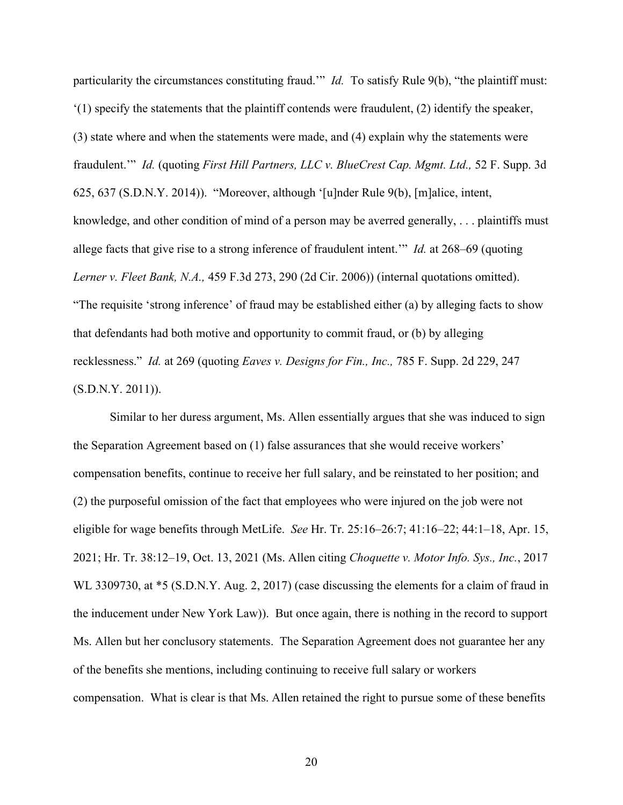particularity the circumstances constituting fraud.'" *Id.* To satisfy Rule 9(b), "the plaintiff must:  $'(1)$  specify the statements that the plaintiff contends were fraudulent, (2) identify the speaker, (3) state where and when the statements were made, and (4) explain why the statements were fraudulent.'" *Id.* (quoting *First Hill Partners, LLC v. BlueCrest Cap. Mgmt. Ltd.,* 52 F. Supp. 3d 625, 637 (S.D.N.Y. 2014)). "Moreover, although '[u]nder Rule 9(b), [m]alice, intent, knowledge, and other condition of mind of a person may be averred generally, . . . plaintiffs must allege facts that give rise to a strong inference of fraudulent intent.'" *Id.* at 268–69 (quoting *Lerner v. Fleet Bank, N.A.,* 459 F.3d 273, 290 (2d Cir. 2006)) (internal quotations omitted). "The requisite 'strong inference' of fraud may be established either (a) by alleging facts to show that defendants had both motive and opportunity to commit fraud, or (b) by alleging recklessness." *Id.* at 269 (quoting *Eaves v. Designs for Fin., Inc.,* 785 F. Supp. 2d 229, 247 (S.D.N.Y. 2011)).

Similar to her duress argument, Ms. Allen essentially argues that she was induced to sign the Separation Agreement based on (1) false assurances that she would receive workers' compensation benefits, continue to receive her full salary, and be reinstated to her position; and (2) the purposeful omission of the fact that employees who were injured on the job were not eligible for wage benefits through MetLife. *See* Hr. Tr. 25:16–26:7; 41:16–22; 44:1–18, Apr. 15, 2021; Hr. Tr. 38:12–19, Oct. 13, 2021 (Ms. Allen citing *Choquette v. Motor Info. Sys., Inc.*, 2017 WL 3309730, at  $*5$  (S.D.N.Y. Aug. 2, 2017) (case discussing the elements for a claim of fraud in the inducement under New York Law)). But once again, there is nothing in the record to support Ms. Allen but her conclusory statements. The Separation Agreement does not guarantee her any of the benefits she mentions, including continuing to receive full salary or workers compensation. What is clear is that Ms. Allen retained the right to pursue some of these benefits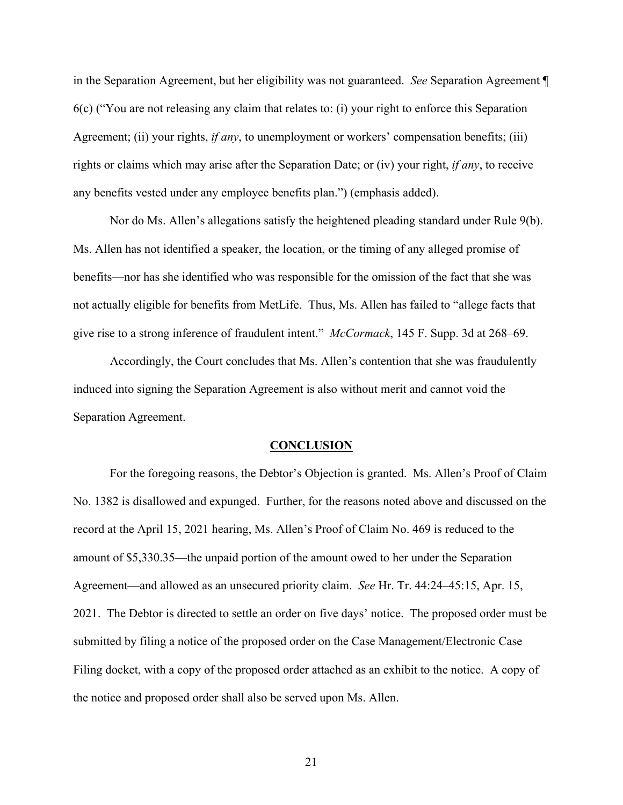in the Separation Agreement, but her eligibility was not guaranteed. *See* Separation Agreement ¶ 6(c) ("You are not releasing any claim that relates to: (i) your right to enforce this Separation Agreement; (ii) your rights, *if any*, to unemployment or workers' compensation benefits; (iii) rights or claims which may arise after the Separation Date; or (iv) your right, *if any*, to receive any benefits vested under any employee benefits plan.") (emphasis added).

Nor do Ms. Allen's allegations satisfy the heightened pleading standard under Rule 9(b). Ms. Allen has not identified a speaker, the location, or the timing of any alleged promise of benefits—nor has she identified who was responsible for the omission of the fact that she was not actually eligible for benefits from MetLife. Thus, Ms. Allen has failed to "allege facts that give rise to a strong inference of fraudulent intent." *McCormack*, 145 F. Supp. 3d at 268–69.

Accordingly, the Court concludes that Ms. Allen's contention that she was fraudulently induced into signing the Separation Agreement is also without merit and cannot void the Separation Agreement.

#### **CONCLUSION**

For the foregoing reasons, the Debtor's Objection is granted. Ms. Allen's Proof of Claim No. 1382 is disallowed and expunged. Further, for the reasons noted above and discussed on the record at the April 15, 2021 hearing, Ms. Allen's Proof of Claim No. 469 is reduced to the amount of \$5,330.35—the unpaid portion of the amount owed to her under the Separation Agreement—and allowed as an unsecured priority claim. *See* Hr. Tr. 44:24–45:15, Apr. 15, 2021. The Debtor is directed to settle an order on five days' notice. The proposed order must be submitted by filing a notice of the proposed order on the Case Management/Electronic Case Filing docket, with a copy of the proposed order attached as an exhibit to the notice. A copy of the notice and proposed order shall also be served upon Ms. Allen.

21